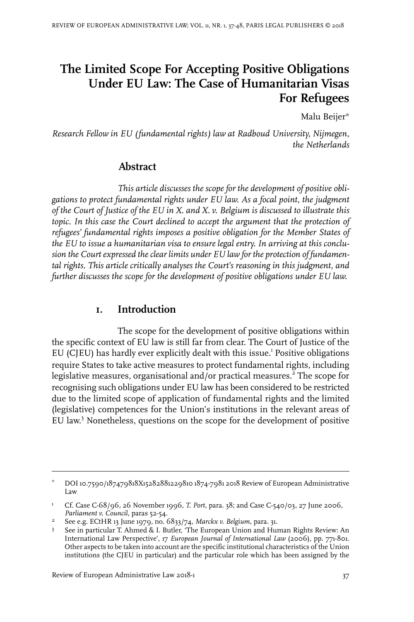# **The Limited Scope For Accepting Positive Obligations Under EU Law: The Case of Humanitarian Visas For Refugees**

Malu Beijer\*

*Research Fellow in EU (fundamental rights) law at Radboud University, Nijmegen, the Netherlands*

### **Abstract**

*This article discusses the scope for the development of positive obligations to protect fundamental rights under EU law. As a focal point, the judgment of the Court of Justice of the EU in X. and X. v. Belgium is discussed to illustrate this topic. In this case the Court declined to accept the argument that the protection of refugees' fundamental rights imposes a positive obligation for the Member States of the EU to issue a humanitarian visa to ensure legal entry. In arriving at this conclusion the Court expressed the clear limits under EU law for the protection of fundamental rights. This article critically analyses the Court's reasoning in this judgment, and further discusses the scope for the development of positive obligations under EU law.*

#### **1. Introduction**

The scope for the development of positive obligations within the specific context of EU law is still far from clear. The Court of Justice of the EU (CJEU) has hardly ever explicitly dealt with this issue.<sup>1</sup> Positive obligations require States to take active measures to protect fundamental rights, including legislative measures, organisational and/or practical measures.<sup>2</sup> The scope for recognising such obligations under EU law has been considered to be restricted due to the limited scope of application of fundamental rights and the limited (legislative) competences for the Union's institutions in the relevant areas of EU law. <sup>3</sup> Nonetheless, questions on the scope for the development of positive

Review of European Administrative Law 2018-1 37

DOI10.7590/187479818X15282881229810 1874-7981 2018 Review of European Administrative Law \*

Cf. Case C-68/96, 26 November 1996, *T. Port*, para. 38; and Case C-540/03, 27 June 2006, *Parliament v. Council*, paras 52-54. 1

See e.g. ECtHR 13 June 1979, no. 6833/74, *Marckx v. Belgium*, para. 31. <sup>2</sup>

See in particular T. Ahmed & I. Butler, 'The European Union and Human Rights Review: An International Law Perspective', 17 *European Journal of International Law* (2006), pp. 771-801. 3 Other aspects to be taken into account are the specific institutional characteristics of the Union institutions (the CJEU in particular) and the particular role which has been assigned by the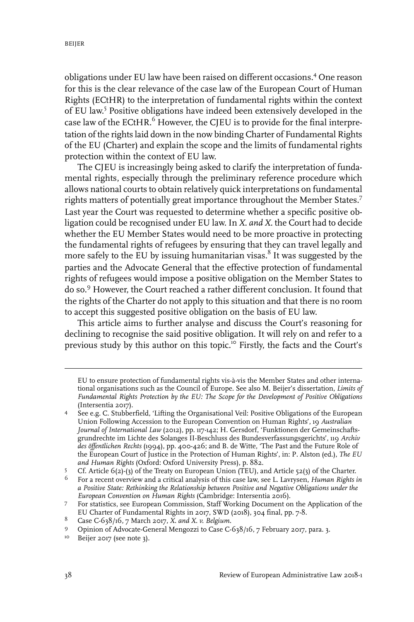obligations under EU law have been raised on different occasions.<sup>4</sup> One reason for this is the clear relevance of the case law of the European Court of Human Rights (ECtHR) to the interpretation of fundamental rights within the context of EU law. 5 Positive obligations have indeed been extensively developed in the case law of the ECtHR. $<sup>6</sup>$  However, the CJEU is to provide for the final interpre-</sup> tation of the rights laid down in the now binding Charter of Fundamental Rights of the EU (Charter) and explain the scope and the limits of fundamental rights protection within the context of EU law.

The CJEU is increasingly being asked to clarify the interpretation of fundamental rights, especially through the preliminary reference procedure which allows national courts to obtain relatively quick interpretations on fundamental rights matters of potentially great importance throughout the Member States.<sup>7</sup> Last year the Court was requested to determine whether a specific positive obligation could be recognised under EU law. In *X. and X.* the Court had to decide whether the EU Member States would need to be more proactive in protecting the fundamental rights of refugees by ensuring that they can travel legally and more safely to the EU by issuing humanitarian visas.<sup>8</sup> It was suggested by the parties and the Advocate General that the effective protection of fundamental rights of refugees would impose a positive obligation on the Member States to do so.<sup>9</sup> However, the Court reached a rather different conclusion. It found that the rights of the Charter do not apply to this situation and that there is no room to accept this suggested positive obligation on the basis of EU law.

This article aims to further analyse and discuss the Court's reasoning for declining to recognise the said positive obligation. It will rely on and refer to a previous study by this author on this topic.<sup>10</sup> Firstly, the facts and the Court's

EU to ensure protection of fundamental rights vis-à-vis the Member States and other international organisations such as the Council of Europe. See also M. Beijer's dissertation, *Limits of Fundamental Rights Protection by the EU: The Scope for the Development of Positive Obligations* (Intersentia 2017).

See e.g. C. Stubberfield, 'Lifting the Organisational Veil: Positive Obligations of the European Union Following Accession to the European Convention on Human Rights', 19 *Australian* 4 *Journal of International Law* (2012), pp. 117-142; H. Gersdorf, 'Funktionen der Gemeinschaftsgrundrechte im Lichte des Solanges II-Beschluss des Bundesverfassungsgerichts', 119 *Archiv des öffentlichen Rechts* (1994), pp. 400-426; and B. de Witte, 'The Past and the Future Role of the European Court of Justice in the Protection of Human Rights', in: P. Alston (ed.), *The EU and Human Rights* (Oxford: Oxford University Press), p. 882.

Cf. Article 6(2)-(3) of the Treaty on European Union (TEU), and Article 52(3) of the Charter. 5

For a recent overview and a critical analysis of this case law, see L. Lavrysen, *Human Rights in a Positive State: Rethinking the Relationship between Positive and Negative Obligations under the European Convention on Human Rights* (Cambridge:Intersentia 2016). 6

For statistics, see European Commission, Staff Working Document on the Application of the EU Charter of Fundamental Rights in 2017, SWD (2018), 304 final, pp. 7-8. 7

Case C-638/16, 7 March 2017, *X. and X. v. Belgium*. 8

Opinion of Advocate-General Mengozzi to Case C-638/16, 7 February 2017, para. 3.

<sup>&</sup>lt;sup>10</sup> Beijer 2017 (see note 3).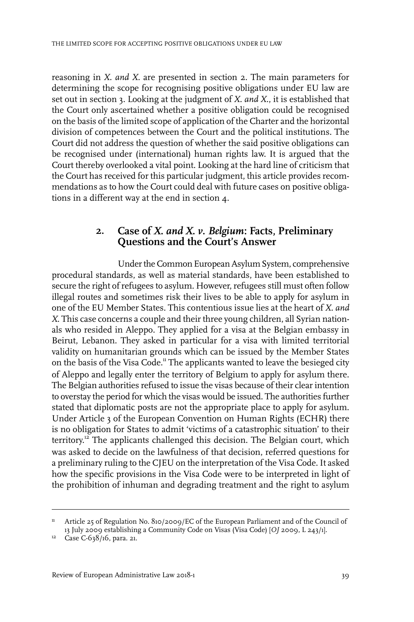reasoning in *X. and X.* are presented in section 2. The main parameters for determining the scope for recognising positive obligations under EU law are set out in section 3. Looking at the judgment of *X. and X.*, it is established that the Court only ascertained whether a positive obligation could be recognised on the basis of the limited scope of application of the Charter and the horizontal division of competences between the Court and the political institutions. The Court did not address the question of whether the said positive obligations can be recognised under (international) human rights law. It is argued that the Court thereby overlooked a vital point. Looking at the hard line of criticism that the Court has received for this particular judgment, this article provides recommendations as to how the Court could deal with future cases on positive obligations in a different way at the end in section 4.

#### **2. Case of** *X. and X. v. Belgium***: Facts, Preliminary Questions and the Court's Answer**

Under the Common European Asylum System, comprehensive procedural standards, as well as material standards, have been established to secure the right of refugees to asylum. However, refugees still must often follow illegal routes and sometimes risk their lives to be able to apply for asylum in one of the EU Member States. This contentious issue lies at the heart of *X. and X*. This case concerns a couple and their three young children, all Syrian nationals who resided in Aleppo. They applied for a visa at the Belgian embassy in Beirut, Lebanon. They asked in particular for a visa with limited territorial validity on humanitarian grounds which can be issued by the Member States on the basis of the Visa Code.<sup>11</sup> The applicants wanted to leave the besieged city of Aleppo and legally enter the territory of Belgium to apply for asylum there. The Belgian authorities refused to issue the visas because of their clearintention to overstay the period for which the visas would be issued. The authorities further stated that diplomatic posts are not the appropriate place to apply for asylum. Under Article 3 of the European Convention on Human Rights (ECHR) there is no obligation for States to admit 'victims of a catastrophic situation' to their territory. <sup>12</sup> The applicants challenged this decision. The Belgian court, which was asked to decide on the lawfulness of that decision, referred questions for a preliminary ruling to the CJEU on the interpretation of the Visa Code. It asked how the specific provisions in the Visa Code were to be interpreted in light of the prohibition of inhuman and degrading treatment and the right to asylum

<sup>&</sup>lt;sup>11</sup> Article 25 of Regulation No. 810/2009/EC of the European Parliament and of the Council of 13 July 2009 establishing a Community Code on Visas (Visa Code) [*OJ* 2009, L 243/1].

<sup>&</sup>lt;sup>12</sup> Case C-638/16, para. 21.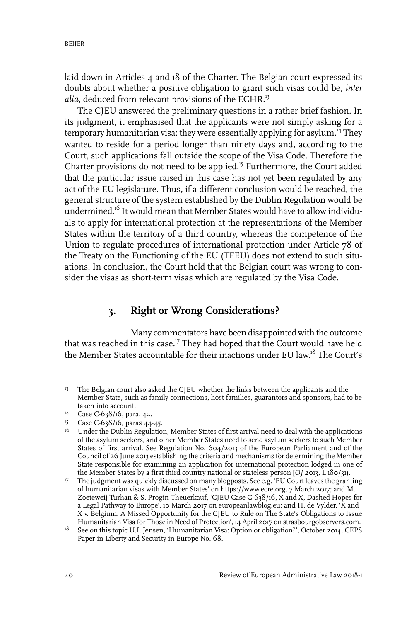laid down in Articles 4 and 18 of the Charter. The Belgian court expressed its doubts about whether a positive obligation to grant such visas could be, *inter* alia, deduced from relevant provisions of the ECHR.<sup>13</sup>

The CJEU answered the preliminary questions in a rather brief fashion. In its judgment, it emphasised that the applicants were not simply asking for a temporary humanitarian visa; they were essentially applying for asylum.<sup>14</sup> They wanted to reside for a period longer than ninety days and, according to the Court, such applications fall outside the scope of the Visa Code. Therefore the Charter provisions do not need to be applied.<sup>15</sup> Furthermore, the Court added that the particular issue raised in this case has not yet been regulated by any act of the EU legislature. Thus, if a different conclusion would be reached, the general structure of the system established by the Dublin Regulation would be undermined.<sup>16</sup> It would mean that Member States would have to allow individuals to apply for international protection at the representations of the Member States within the territory of a third country, whereas the competence of the Union to regulate procedures of international protection under Article 78 of the Treaty on the Functioning of the EU (TFEU) does not extend to such situations. In conclusion, the Court held that the Belgian court was wrong to consider the visas as short-term visas which are regulated by the Visa Code.

## **3. Right or Wrong Considerations?**

Many commentators have been disappointed with the outcome that was reached in this case.<sup>17</sup> They had hoped that the Court would have held the Member States accountable for their inactions under EU law.<sup>18</sup> The Court's

<sup>&</sup>lt;sup>13</sup> The Belgian court also asked the CJEU whether the links between the applicants and the Member State, such as family connections, host families, guarantors and sponsors, had to be taken into account.

<sup>&</sup>lt;sup>14</sup> Case C-638/16, para. 42.

<sup>&</sup>lt;sup>15</sup> Case C-638/16, paras 44-45.

 $^{16}$  Under the Dublin Regulation, Member States of first arrival need to deal with the applications of the asylum seekers, and other Member States need to send asylum seekers to such Member States of first arrival. See Regulation No. 604/2013 of the European Parliament and of the Council of 26 June 2013 establishing the criteria and mechanisms for determining the Member State responsible for examining an application for international protection lodged in one of the Member States by a first third country national or stateless person [*OJ* 2013, L 180/31).

<sup>&</sup>lt;sup>17</sup> The judgment was quickly discussed on many blogposts. See e.g. 'EU Court leaves the granting of humanitarian visas with Member States' on https://www.ecre.org, 7 March 2017; and M. Zoeteweij-Turhan & S. Progin-Theuerkauf, 'CJEU Case C-638/16, X and X, Dashed Hopes for a Legal Pathway to Europe', 10 March 2017 on europeanlawblog.eu; and H. de Vylder, 'X and X v. Belgium: A Missed Opportunity for the CJEU to Rule on The State's Obligations to Issue Humanitarian Visa for Those in Need of Protection', 14 April 2017 on strasbourgobservers.com.

 $^{18}$  See on this topic U.I. Jensen, 'Humanitarian Visa: Option or obligation?', October 2014, CEPS Paper in Liberty and Security in Europe No. 68.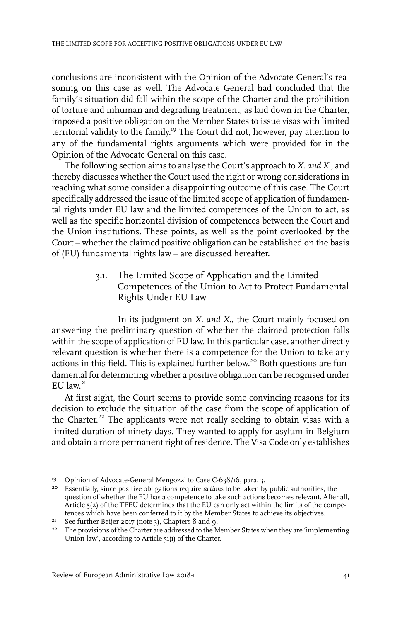conclusions are inconsistent with the Opinion of the Advocate General's reasoning on this case as well. The Advocate General had concluded that the family's situation did fall within the scope of the Charter and the prohibition of torture and inhuman and degrading treatment, as laid down in the Charter, imposed a positive obligation on the Member States to issue visas with limited territorial validity to the family. <sup>19</sup> The Court did not, however, pay attention to any of the fundamental rights arguments which were provided for in the Opinion of the Advocate General on this case.

The following section aims to analyse the Court's approach to *X. and X.*, and thereby discusses whether the Court used the right or wrong considerations in reaching what some consider a disappointing outcome of this case. The Court specifically addressed the issue of the limited scope of application of fundamental rights under EU law and the limited competences of the Union to act, as well as the specific horizontal division of competences between the Court and the Union institutions. These points, as well as the point overlooked by the Court – whether the claimed positive obligation can be established on the basis of (EU) fundamental rights law – are discussed hereafter.

> 3.1. The Limited Scope of Application and the Limited Competences of the Union to Act to Protect Fundamental Rights Under EU Law

In its judgment on *X. and X.*, the Court mainly focused on answering the preliminary question of whether the claimed protection falls within the scope of application of EU law. In this particular case, another directly relevant question is whether there is a competence for the Union to take any actions in this field. This is explained further below.<sup>20</sup> Both questions are fundamental for determining whether a positive obligation can be recognised under EU law.<sup>21</sup>

At first sight, the Court seems to provide some convincing reasons for its decision to exclude the situation of the case from the scope of application of the Charter.<sup>22</sup> The applicants were not really seeking to obtain visas with a limited duration of ninety days. They wanted to apply for asylum in Belgium and obtain a more permanent right of residence. The Visa Code only establishes

<sup>&</sup>lt;sup>19</sup> Opinion of Advocate-General Mengozzi to Case C-638/16, para. 3.

<sup>&</sup>lt;sup>20</sup> Essentially, since positive obligations require *actions* to be taken by public authorities, the question of whether the EU has a competence to take such actions becomes relevant. After all, Article 5(2) of the TFEU determines that the EU can only act within the limits of the competences which have been conferred to it by the Member States to achieve its objectives.

<sup>&</sup>lt;sup>21</sup> See further Beijer 2017 (note 3), Chapters  $8$  and 9.

 $22$  The provisions of the Charter are addressed to the Member States when they are 'implementing Union law', according to Article 51(1) of the Charter.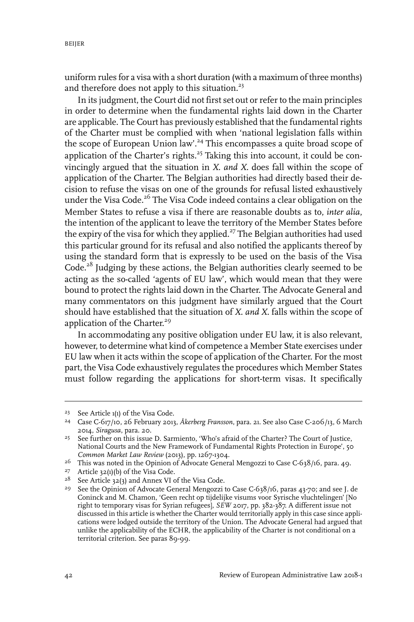uniform rules for a visa with a short duration (with a maximum of three months) and therefore does not apply to this situation.<sup>23</sup>

In its judgment, the Court did not first set out orreferto the main principles in order to determine when the fundamental rights laid down in the Charter are applicable. The Court has previously established that the fundamental rights of the Charter must be complied with when 'national legislation falls within the scope of European Union law'.<sup>24</sup> This encompasses a quite broad scope of application of the Charter's rights.<sup>25</sup> Taking this into account, it could be convincingly argued that the situation in *X. and X.* does fall within the scope of application of the Charter. The Belgian authorities had directly based their decision to refuse the visas on one of the grounds for refusal listed exhaustively under the Visa Code.<sup>26</sup> The Visa Code indeed contains a clear obligation on the Member States to refuse a visa if there are reasonable doubts as to, *inter alia*, the intention of the applicant to leave the territory of the Member States before the expiry of the visa for which they applied.<sup>27</sup> The Belgian authorities had used this particular ground for its refusal and also notified the applicants thereof by using the standard form that is expressly to be used on the basis of the Visa Code.<sup>28</sup> Judging by these actions, the Belgian authorities clearly seemed to be acting as the so-called 'agents of EU law', which would mean that they were bound to protect the rights laid down in the Charter. The Advocate General and many commentators on this judgment have similarly argued that the Court should have established that the situation of *X. and X.* falls within the scope of application of the Charter.<sup>29</sup>

In accommodating any positive obligation under EU law, it is also relevant, however, to determine what kind of competence a Member State exercises under EU law when it acts within the scope of application of the Charter. For the most part, the Visa Code exhaustively regulates the procedures which Member States must follow regarding the applications for short-term visas. It specifically

<sup>&</sup>lt;sup>23</sup> See Article 1(1) of the Visa Code.

Case C-617/10, 26 February 2013, *Åkerberg Fransson*, para. 21. See also Case C-206/13, 6 March 24 2014, *Siragusa*, para. 20.

<sup>&</sup>lt;sup>25</sup> See further on this issue D. Sarmiento, 'Who's afraid of the Charter? The Court of Justice, National Courts and the New Framework of Fundamental Rights Protection in Europe', 50 *Common Market Law Review* (2013), pp. 1267-1304.

<sup>&</sup>lt;sup>26</sup> This was noted in the Opinion of Advocate General Mengozzi to Case C-638/16, para. 49.

<sup>&</sup>lt;sup>27</sup> Article 32(1)(b) of the Visa Code.

 $28$  See Article 32(3) and Annex VI of the Visa Code.

<sup>&</sup>lt;sup>29</sup> See the Opinion of Advocate General Mengozzi to Case C-638/16, paras 43-70; and see J. de Coninck and M. Chamon, 'Geen recht op tijdelijke visums voor Syrische vluchtelingen' [No right to temporary visas for Syrian refugees], *SEW* 2017, pp. 382-387. A different issue not discussed in this article is whether the Charter would territorially apply in this case since applications were lodged outside the territory of the Union. The Advocate General had argued that unlike the applicability of the ECHR, the applicability of the Charter is not conditional on a territorial criterion. See paras 89-99.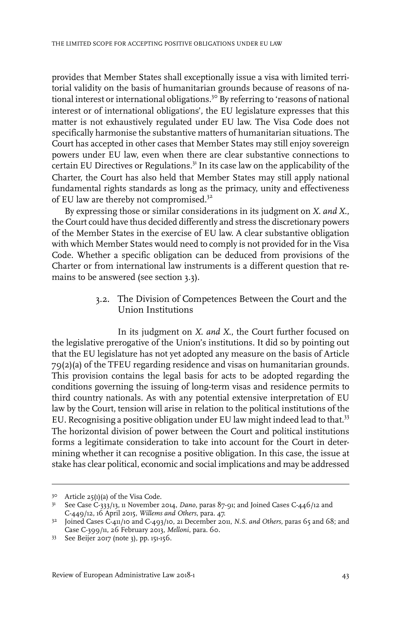provides that Member States shall exceptionally issue a visa with limited territorial validity on the basis of humanitarian grounds because of reasons of national interest or international obligations.<sup>30</sup> By referring to 'reasons of national interest or of international obligations', the EU legislature expresses that this matter is not exhaustively regulated under EU law. The Visa Code does not specifically harmonise the substantive matters of humanitarian situations. The Court has accepted in other cases that Member States may still enjoy sovereign powers under EU law, even when there are clear substantive connections to certain EU Directives or Regulations.<sup>31</sup> In its case law on the applicability of the Charter, the Court has also held that Member States may still apply national fundamental rights standards as long as the primacy, unity and effectiveness of EU law are thereby not compromised.<sup>32</sup>

By expressing those or similar considerations in its judgment on *X. and X.*, the Court could have thus decided differently and stress the discretionary powers of the Member States in the exercise of EU law. A clear substantive obligation with which Member States would need to comply is not provided for in the Visa Code. Whether a specific obligation can be deduced from provisions of the Charter or from international law instruments is a different question that remains to be answered (see section 3.3).

> 3.2. The Division of Competences Between the Court and the Union Institutions

In its judgment on *X. and X.*, the Court further focused on the legislative prerogative of the Union's institutions. It did so by pointing out that the EU legislature has not yet adopted any measure on the basis of Article 79(2)(a) of the TFEU regarding residence and visas on humanitarian grounds. This provision contains the legal basis for acts to be adopted regarding the conditions governing the issuing of long-term visas and residence permits to third country nationals. As with any potential extensive interpretation of EU law by the Court, tension will arise in relation to the political institutions of the EU. Recognising a positive obligation under EU law might indeed lead to that.<sup>33</sup> The horizontal division of power between the Court and political institutions forms a legitimate consideration to take into account for the Court in determining whether it can recognise a positive obligation. In this case, the issue at stake has clear political, economic and social implications and may be addressed

 $30$  Article 25(1)(a) of the Visa Code.

<sup>&</sup>lt;sup>31</sup> See Case C-333/13, 11 November 2014, *Dano*, paras 87-91; and Joined Cases C-446/12 and C-449/12, 16 April 2015, *Willems and Others*, para. 47.

Joined Cases C-411/10 and C-493/10, 21 December 2011, *N.S. and Others*, paras 65 and 68; and 32 Case C-399/11, 26 February 2013, *Melloni*, para. 60.

See Beijer 2017 (note 3), pp. 151-156. <sup>33</sup>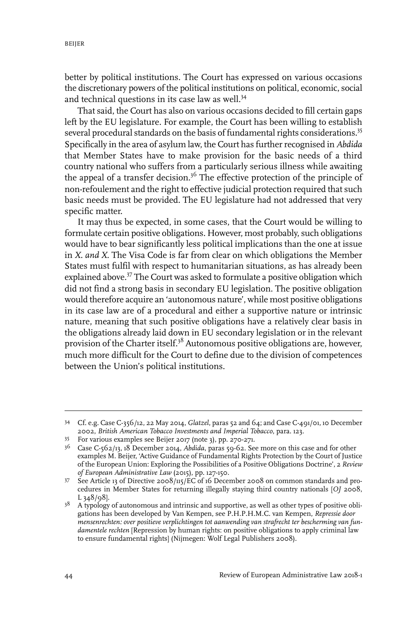better by political institutions. The Court has expressed on various occasions the discretionary powers of the political institutions on political, economic, social and technical questions in its case law as well.<sup>34</sup>

That said, the Court has also on various occasions decided to fill certain gaps left by the EU legislature. For example, the Court has been willing to establish several procedural standards on the basis of fundamental rights considerations.<sup>35</sup> Specifically in the area of asylum law, the Court has further recognised in *Abdida* that Member States have to make provision for the basic needs of a third country national who suffers from a particularly serious illness while awaiting the appeal of a transfer decision.<sup>36</sup> The effective protection of the principle of non-refoulement and the right to effective judicial protection required that such basic needs must be provided. The EU legislature had not addressed that very specific matter.

It may thus be expected, in some cases, that the Court would be willing to formulate certain positive obligations. However, most probably, such obligations would have to bear significantly less political implications than the one at issue in *X. and X*. The Visa Code is far from clear on which obligations the Member States must fulfil with respect to humanitarian situations, as has already been explained above.<sup>37</sup> The Court was asked to formulate a positive obligation which did not find a strong basis in secondary EU legislation. The positive obligation would therefore acquire an 'autonomous nature', while most positive obligations in its case law are of a procedural and either a supportive nature or intrinsic nature, meaning that such positive obligations have a relatively clear basis in the obligations already laid down in EU secondary legislation or in the relevant provision of the Charter itself.<sup>38</sup> Autonomous positive obligations are, however, much more difficult for the Court to define due to the division of competences between the Union's political institutions.

Cf. e.g. Case C-356/12, 22 May 2014, *Glatzel*, paras 52 and 64; and Case C-491/01, 10 December 34 2002, *British American Tobacco Investments and Imperial Tobacco*, para. 123.

For various examples see Beijer 2017 (note 3), pp. 270-271. <sup>35</sup>

Case C-562/13, 18 December 2014, *Abdida*, paras 59-62. See more on this case and for other examples M. Beijer, 'Active Guidance of Fundamental Rights Protection by the Court of Justice 36 of the European Union: Exploring the Possibilities of a Positive Obligations Doctrine', 2 *Review of European Administrative Law* (2015), pp. 127-150.

 $37$  See Article 13 of Directive 2008/115/EC of 16 December 2008 on common standards and procedures in Member States for returning illegally staying third country nationals [*OJ* 2008, L 348/98].

<sup>&</sup>lt;sup>38</sup> A typology of autonomous and intrinsic and supportive, as well as other types of positive obligations has been developed by Van Kempen, see P.H.P.H.M.C. van Kempen, *Repressie door mensenrechten: over positieve verplichtingen tot aanwending van strafrecht ter bescherming van fundamentele rechten* [Repression by human rights: on positive obligations to apply criminal law to ensure fundamental rights] (Nijmegen: Wolf Legal Publishers 2008).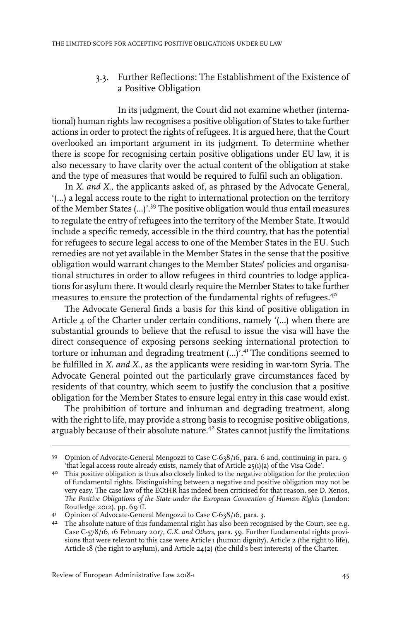#### 3.3. Further Reflections: The Establishment of the Existence of a Positive Obligation

In its judgment, the Court did not examine whether (international) human rights law recognises a positive obligation of States to take further actions in order to protect the rights of refugees. It is argued here, that the Court overlooked an important argument in its judgment. To determine whether there is scope for recognising certain positive obligations under EU law, it is also necessary to have clarity over the actual content of the obligation at stake and the type of measures that would be required to fulfil such an obligation.

In *X. and X.*, the applicants asked of, as phrased by the Advocate General, '(…) a legal access route to the right to international protection on the territory of the Member States (…)'.<sup>39</sup> The positive obligation would thus entail measures to regulate the entry of refugees into the territory of the Member State. It would include a specific remedy, accessible in the third country, that has the potential for refugees to secure legal access to one of the Member States in the EU. Such remedies are not yet available in the Member States in the sense that the positive obligation would warrant changes to the Member States' policies and organisational structures in order to allow refugees in third countries to lodge applications for asylum there. It would clearly require the Member States to take further measures to ensure the protection of the fundamental rights of refugees.<sup>40</sup>

The Advocate General finds a basis for this kind of positive obligation in Article 4 of the Charter under certain conditions, namely '(…) when there are substantial grounds to believe that the refusal to issue the visa will have the direct consequence of exposing persons seeking international protection to torture or inhuman and degrading treatment (...)'.<sup>41</sup> The conditions seemed to be fulfilled in *X. and X.*, as the applicants were residing in war-torn Syria. The Advocate General pointed out the particularly grave circumstances faced by residents of that country, which seem to justify the conclusion that a positive obligation for the Member States to ensure legal entry in this case would exist.

The prohibition of torture and inhuman and degrading treatment, along with the right to life, may provide a strong basis to recognise positive obligations, arguably because of their absolute nature.<sup>42</sup> States cannot justify the limitations

<sup>&</sup>lt;sup>39</sup> Opinion of Advocate-General Mengozzi to Case C-638/16, para. 6 and, continuing in para. 9 'that legal access route already exists, namely that of Article 25(1)(a) of the Visa Code'.

<sup>&</sup>lt;sup>40</sup> This positive obligation is thus also closely linked to the negative obligation for the protection of fundamental rights. Distinguishing between a negative and positive obligation may not be very easy. The case law of the ECtHR has indeed been criticised for that reason, see D. Xenos, *The Positive Obligations of the State under the European Convention of Human Rights* (London: Routledge 2012), pp.  $69$  ff.

<sup>41</sup> Opinion of Advocate-General Mengozzi to Case C-638/16, para. 3.

<sup>&</sup>lt;sup>42</sup> The absolute nature of this fundamental right has also been recognised by the Court, see e.g. Case C-578/16, 16 February 2017, *C.K. and Others*, para. 59. Further fundamental rights provisions that were relevant to this case were Article 1 (human dignity), Article 2 (the right to life), Article 18 (the right to asylum), and Article  $24(2)$  (the child's best interests) of the Charter.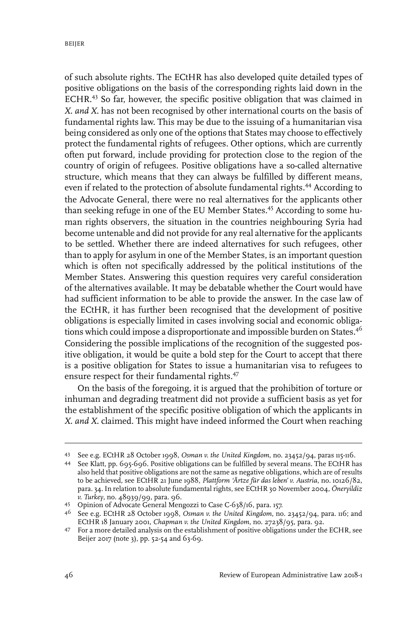of such absolute rights. The ECtHR has also developed quite detailed types of positive obligations on the basis of the corresponding rights laid down in the ECHR.<sup>43</sup> So far, however, the specific positive obligation that was claimed in *X. and X.* has not been recognised by other international courts on the basis of fundamental rights law. This may be due to the issuing of a humanitarian visa being considered as only one of the options that States may choose to effectively protect the fundamental rights of refugees. Other options, which are currently often put forward, include providing for protection close to the region of the country of origin of refugees. Positive obligations have a so-called alternative structure, which means that they can always be fulfilled by different means, even if related to the protection of absolute fundamental rights.<sup>44</sup> According to the Advocate General, there were no real alternatives for the applicants other than seeking refuge in one of the EU Member States.<sup>45</sup> According to some human rights observers, the situation in the countries neighbouring Syria had become untenable and did not provide for any real alternative for the applicants to be settled. Whether there are indeed alternatives for such refugees, other than to apply for asylum in one of the Member States, is an important question which is often not specifically addressed by the political institutions of the Member States. Answering this question requires very careful consideration of the alternatives available. It may be debatable whether the Court would have had sufficient information to be able to provide the answer. In the case law of the ECtHR, it has further been recognised that the development of positive obligations is especially limited in cases involving social and economic obligations which could impose a disproportionate and impossible burden on States.<sup>46</sup> Considering the possible implications of the recognition of the suggested positive obligation, it would be quite a bold step for the Court to accept that there is a positive obligation for States to issue a humanitarian visa to refugees to ensure respect for their fundamental rights.<sup>47</sup>

On the basis of the foregoing, it is argued that the prohibition of torture or inhuman and degrading treatment did not provide a sufficient basis as yet for the establishment of the specific positive obligation of which the applicants in *X. and X.* claimed. This might have indeed informed the Court when reaching

See e.g. ECtHR 28 October 1998, *Osman v. the United Kingdom*, no. 23452/94, paras 115-116. <sup>43</sup>

<sup>44</sup> See Klatt, pp. 695-696. Positive obligations can be fulfilled by several means. The ECtHR has also held that positive obligations are not the same as negative obligations, which are of results to be achieved, see ECtHR 21 June 1988, *Plattform 'Ärtze für das leben' v. Austria*, no. 10126/82, para. 34.In relation to absolute fundamental rights, see ECtHR 30 November 2004, *Öneryildiz v. Turkey*, no. 48939/99, para. 96.

Opinion of Advocate General Mengozzi to Case C-638/16, para. 157. 45

See e.g. ECtHR 28 October 1998, *Osman v. the United Kingdom*, no. 23452/94, para. 116; and 46 ECtHR 18 January 2001, *Chapman v. the United Kingdom*, no. 27238/95, para. 92.

For a more detailed analysis on the establishment of positive obligations under the ECHR, see 47 Beijer 2017 (note 3), pp. 52-54 and 63-69.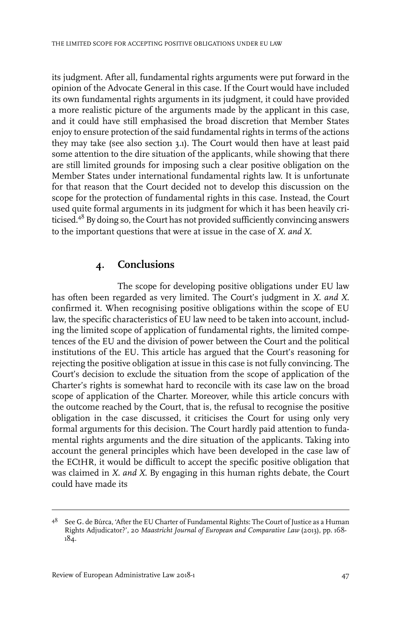its judgment. After all, fundamental rights arguments were put forward in the opinion of the Advocate General in this case. If the Court would have included its own fundamental rights arguments in its judgment, it could have provided a more realistic picture of the arguments made by the applicant in this case, and it could have still emphasised the broad discretion that Member States enjoy to ensure protection of the said fundamental rights in terms of the actions they may take (see also section 3.1). The Court would then have at least paid some attention to the dire situation of the applicants, while showing that there are still limited grounds for imposing such a clear positive obligation on the Member States under international fundamental rights law. It is unfortunate for that reason that the Court decided not to develop this discussion on the scope for the protection of fundamental rights in this case. Instead, the Court used quite formal arguments in its judgment for which it has been heavily criticised.<sup>48</sup> By doing so, the Court has not provided sufficiently convincing answers to the important questions that were at issue in the case of *X. and X.*

### **4. Conclusions**

The scope for developing positive obligations under EU law has often been regarded as very limited. The Court's judgment in *X. and X.* confirmed it. When recognising positive obligations within the scope of EU law, the specific characteristics of EU law need to be taken into account, including the limited scope of application of fundamental rights, the limited competences of the EU and the division of power between the Court and the political institutions of the EU. This article has argued that the Court's reasoning for rejecting the positive obligation at issue in this case is not fully convincing. The Court's decision to exclude the situation from the scope of application of the Charter's rights is somewhat hard to reconcile with its case law on the broad scope of application of the Charter. Moreover, while this article concurs with the outcome reached by the Court, that is, the refusal to recognise the positive obligation in the case discussed, it criticises the Court for using only very formal arguments for this decision. The Court hardly paid attention to fundamental rights arguments and the dire situation of the applicants. Taking into account the general principles which have been developed in the case law of the ECtHR, it would be difficult to accept the specific positive obligation that was claimed in *X. and X*. By engaging in this human rights debate, the Court could have made its

 $^{48}$  See G. de Búrca, 'After the EU Charter of Fundamental Rights: The Court of Justice as a Human Rights Adjudicator?', 20 *Maastricht Journal of European and Comparative Law* (2013), pp. 168- 184.